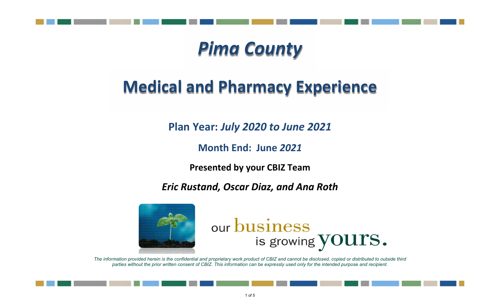

# *Pima County*

# **Medical and Pharmacy Experience**

**Plan Year:** *July 2020 to June 2021*

**Month End: June** *2021*

**Presented by your CBIZ Team**

*Eric Rustand, Oscar Diaz, and Ana Roth*



# our business is growing YOUTS.

*The information provided herein is the confidential and proprietary work product of CBIZ and cannot be disclosed, copied or distributed to outside third parties without the prior written consent of CBIZ. This information can be expressly used only for the intended purpose and recipient.*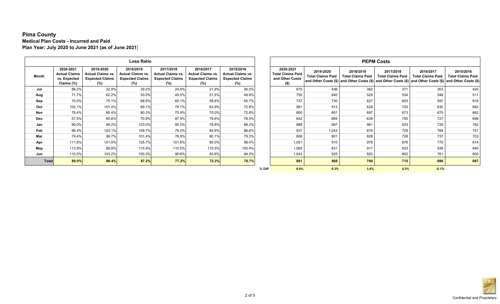## **Pima County Medical Plan Costs - Incurred and Paid Plan Year: July 2020 to June 2021 (as of June 2021)**

|              |                                                                 |                                                                        | <b>Loss Ratio</b>                                                      |                                                                        |                                                                        |                                                                        |        | <b>PEPM Costs</b>                                                |                                       |                                       |                                                                                                                                                   |                                       |                                       |
|--------------|-----------------------------------------------------------------|------------------------------------------------------------------------|------------------------------------------------------------------------|------------------------------------------------------------------------|------------------------------------------------------------------------|------------------------------------------------------------------------|--------|------------------------------------------------------------------|---------------------------------------|---------------------------------------|---------------------------------------------------------------------------------------------------------------------------------------------------|---------------------------------------|---------------------------------------|
| Month        | 2020-2021<br><b>Actual Claims</b><br>vs. Expected<br>Claims (%) | 2019-2020<br><b>Actual Claims vs.</b><br><b>Expected Claims</b><br>(%) | 2018/2019<br><b>Actual Claims vs.</b><br><b>Expected Claims</b><br>(%) | 2017/2018<br><b>Actual Claims vs.</b><br><b>Expected Claims</b><br>(%) | 2016/2017<br><b>Actual Claims vs.</b><br><b>Expected Claims</b><br>(%) | 2015/2016<br><b>Actual Claims vs.</b><br><b>Expected Claims</b><br>(%) |        | 2020-2021<br><b>Total Claims Paid</b><br>and Other Costs<br>(\$) | 2019-2020<br><b>Total Claims Paid</b> | 2018/2019<br><b>Total Claims Paid</b> | 2017/2018<br><b>Total Claims Paid</b><br>and Other Costs (\$) and Other Costs (\$) and Other Costs (\$) and Other Costs (\$) and Other Costs (\$) | 2016/2017<br><b>Total Claims Paid</b> | 2015/2016<br><b>Total Claims Paid</b> |
| Jul          | 88.2%                                                           | 32.9%                                                                  | 29.2%                                                                  | 24.6%                                                                  | 21.9%                                                                  | 36.0%                                                                  |        | 875                                                              | 436                                   | 382                                   | 371                                                                                                                                               | 353                                   | 420                                   |
| Aug          | 71.7%                                                           | 62.2%                                                                  | 53.0%                                                                  | 49.5%                                                                  | 51.5%                                                                  | 49.8%                                                                  |        | 750                                                              | 640                                   | 529                                   | 534                                                                                                                                               | 548                                   | 511                                   |
| Sep          | 70.0%                                                           | 75.1%                                                                  | 68.9%                                                                  | 60.1%                                                                  | 58.8%                                                                  | 65.7%                                                                  |        | 737                                                              | 730                                   | 627                                   | 603                                                                                                                                               | 597                                   | 616                                   |
| Oct          | 102.1%                                                          | 101.4%                                                                 | 69.1%                                                                  | 78.1%                                                                  | 63.9%                                                                  | 72.8%                                                                  |        | 981                                                              | 913                                   | 628                                   | 720                                                                                                                                               | 630                                   | 662                                   |
| Nov          | 78.4%                                                           | 85.4%                                                                  | 80.3%                                                                  | 70.9%                                                                  | 70.0%                                                                  | 72.8%                                                                  |        | 800                                                              | 801                                   | 697                                   | 673                                                                                                                                               | 670                                   | 662                                   |
| <b>Dec</b>   | 57.5%                                                           | 65.6%                                                                  | 70.8%                                                                  | 87.9%                                                                  | 78.6%                                                                  | 78.5%                                                                  |        | 642                                                              | 664                                   | 639                                   | 785                                                                                                                                               | 727                                   | 699                                   |
| Jan          | 90.0%                                                           | 99.2%                                                                  | 123.0%                                                                 | 95.2%                                                                  | 78.8%                                                                  | 88.2%                                                                  |        | 888                                                              | 897                                   | 961                                   | 833                                                                                                                                               | 729                                   | 762                                   |
| Feb          | 96.4%                                                           | 120.1%                                                                 | 109.7%                                                                 | 79.2%                                                                  | 84.6%                                                                  | 86.6%                                                                  |        | 937                                                              | 1,043                                 | 879                                   | 728                                                                                                                                               | 768                                   | 751                                   |
| Mar          | 79.4%                                                           | 99.7%                                                                  | 101.4%                                                                 | 78.9%                                                                  | 80.1%                                                                  | 79.3%                                                                  |        | 808                                                              | 901                                   | 828                                   | 726                                                                                                                                               | 737                                   | 703                                   |
| Apr          | 111.6%                                                          | 101.0%                                                                 | 125.7%                                                                 | 101.8%                                                                 | 85.0%                                                                  | 96.4%                                                                  |        | 1,051                                                            | 910                                   | 978                                   | 876                                                                                                                                               | 770                                   | 814                                   |
| May          | 113.9%                                                          | 89.8%                                                                  | 115.9%                                                                 | 110.5%                                                                 | 110.5%                                                                 | 100.4%                                                                 |        | 1,069                                                            | 831                                   | 917                                   | 933                                                                                                                                               | 938                                   | 840                                   |
| Jun          | 110.5%                                                          | 103.2%                                                                 | 100.3%                                                                 | 90.6%                                                                  | 83.6%                                                                  | 94.5%                                                                  |        | 1,043                                                            | 925                                   | 820                                   | 802                                                                                                                                               | 761                                   | 800                                   |
| <b>Total</b> | 89.0%                                                           | 86.4%                                                                  | 87.2%                                                                  | 77.2%                                                                  | 72.3%                                                                  | 76.7%                                                                  |        | 881                                                              | 808                                   | 740                                   | 715                                                                                                                                               | 686                                   | 687                                   |
|              |                                                                 |                                                                        |                                                                        |                                                                        |                                                                        |                                                                        | % Diff | 9.0%                                                             | 9.3%                                  | 3.4%                                  | 4.3%                                                                                                                                              | $-0.1%$                               |                                       |

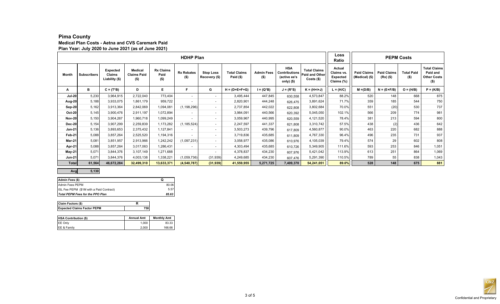## **Pima County**

#### **Medical Plan Costs - Aetna and CVS Caremark Paid Plan Year: July 2020 to June 2021 (as of June 2021)**

|               |                    |                                             |                                                 |                                     | Loss<br>Ratio                | <b>PEPM Costs</b>                 |                                    |                              |                                                                  |                                                              |                                                       |                                      |                                     |                              |                                                                  |
|---------------|--------------------|---------------------------------------------|-------------------------------------------------|-------------------------------------|------------------------------|-----------------------------------|------------------------------------|------------------------------|------------------------------------------------------------------|--------------------------------------------------------------|-------------------------------------------------------|--------------------------------------|-------------------------------------|------------------------------|------------------------------------------------------------------|
| <b>Month</b>  | <b>Subscribers</b> | <b>Expected</b><br>Claims<br>Liability (\$) | <b>Medical</b><br><b>Claims Paid</b><br>$($ \$) | <b>Rx Claims</b><br>Paid<br>$($ \$) | <b>Rx Rebates</b><br>$($ \$) | <b>Stop Loss</b><br>Recovery (\$) | <b>Total Claims</b><br>Paid $(\$)$ | <b>Admin Fees</b><br>$($ \$) | <b>HSA</b><br><b>Contributions</b><br>(active ee's<br>only) (\$) | <b>Total Claims</b><br><b>Paid and Other</b><br>$Costs$ (\$) | Actual<br>Claims vs.<br><b>Expected</b><br>Claims (%) | <b>Paid Claims</b><br>(Medical) (\$) | <b>Paid Claims</b><br>$(Rx)$ $(\$)$ | <b>Total Paid</b><br>$($ \$) | <b>Total Claims</b><br>Paid and<br><b>Other Costs</b><br>$($ \$) |
| А             | в                  | $C = (T^*B)$                                | D                                               | Е                                   |                              | G                                 | $H = (D+E+F+G)$                    | l = (Q*B)                    | $J = (R^*S)$                                                     | $K = (H+H+J)$                                                | $L = (H/C)$                                           | $M = (D/B)$                          | $N = (E+F/B)$                       | $O = (H/B)$                  | $P = (K/B)$                                                      |
| <b>Jul-20</b> | 5,230              | 3,964,915                                   | 2,722,040                                       | 773,404                             | $\overline{\phantom{0}}$     |                                   | 3,495,444                          | 447,845                      | 630,558                                                          | 4,573,847                                                    | 88.2%                                                 | 520                                  | 148                                 | 668                          | 875                                                              |
| Aug-20        | 5,188              | 3,933,075                                   | 1,861,179                                       | 959,722                             |                              |                                   | 2,820,901                          | 444,248                      | 626,475                                                          | 3,891,624                                                    | 71.7%                                                 | 359                                  | 185                                 | 544                          | 750                                                              |
| Sep-20        | 5,162              | 3,913,364                                   | 2,842,069                                       | 1,094,081                           | (1, 198, 296)                |                                   | 2,737,854                          | 442,022                      | 622,808                                                          | 3,802,684                                                    | 70.0%                                                 | 551                                  | (20)                                | 530                          | 737                                                              |
| $Oct-20$      | 5,145              | 3,900,476                                   | 2,911,197                                       | 1,072,894                           | $\overline{\phantom{0}}$     | $\overline{\phantom{0}}$          | 3,984,091                          | 440,566                      | 620,392                                                          | 5,045,050                                                    | 102.1%                                                | 566                                  | 209                                 | 774                          | 981                                                              |
| <b>Nov-20</b> | 5,150              | 3,904,267                                   | 1,960,718                                       | 1,099,249                           |                              |                                   | 3,059,967                          | 440,995                      | 620,559                                                          | 4,121,520                                                    | 78.4%                                                 | 381                                  | 213                                 | 594                          | 800                                                              |
| <b>Dec-20</b> | 5,154              | 3,907,299                                   | 2,259,839                                       | 1,173,282                           | (1, 185, 524)                |                                   | 2,247,597                          | 441,337                      | 621,808                                                          | 3,310,742                                                    | 57.5%                                                 | 438                                  | (2)                                 | 436                          | 642                                                              |
| <b>Jan-21</b> | 5,136              | 3,893,653                                   | 2,375,432                                       | 1,127,841                           |                              |                                   | 3,503,273                          | 439,796                      | 617,809                                                          | 4,560,877                                                    | 90.0%                                                 | 463                                  | 220                                 | 682                          | 888                                                              |
| Feb-21        | 5,088              | 3,857,264                                   | 2,525,520                                       | 1,194,316                           |                              |                                   | 3,719,836                          | 435,685                      | 611,809                                                          | 4,767,330                                                    | 96.4%                                                 | 496                                  | 235                                 | 731                          | 937                                                              |
| Mar-21        | 5.081              | 3,851,957                                   | 2,913,966                                       | 1,242,242                           | (1,097,231)                  |                                   | 3,058,977                          | 435,086                      | 610,976                                                          | 4,105,039                                                    | 79.4%                                                 | 574                                  | 29                                  | 602                          | 808                                                              |
| Apr-21        | 5,088              | 3,857,264                                   | 3,017,063                                       | 1,286,431                           |                              |                                   | 4,303,494                          | 435,685                      | 610,726                                                          | 5,349,905                                                    | 111.6%                                                | 593                                  | 253                                 | 846                          | 1,051                                                            |
| May-21        | 5.071              | 3,844,376                                   | 3,107,149                                       | 1,271,688                           |                              |                                   | 4,378,837                          | 434,230                      | 607,976                                                          | 5,421,042                                                    | 113.9%                                                | 613                                  | 251                                 | 864                          | 1,069                                                            |
| <b>Jun-21</b> | 5.071              | 3,844,376                                   | 4,003,138                                       | 1,338,221                           | (1,059,736)                  | (31, 939)                         | 4,249,685                          | 434,230                      | 607,476                                                          | 5,291,390                                                    | 110.5%                                                | 789                                  | 55                                  | 838                          | 1,043                                                            |
| <b>Total</b>  | 61,564             | 46,672,284                                  | 32,499,310                                      | 13,633,371                          | (4, 540, 787)                | (31, 939)                         | 41,559,955                         | 5,271,725                    | 7,409,370                                                        | 54,241,051                                                   | 89.0%                                                 | 528                                  | 148                                 | 675                          | 881                                                              |

#### **Avg 5,130**

| Admin Fees (\$)                          | O     |
|------------------------------------------|-------|
| Admin Fees PEPM                          | 80.06 |
| ISL Fee PEPM (\$1M with a Paid Contract) | 5.57  |
| Total PEPM Fees for the PPO Plan         | 85.63 |

| Claim Factors (\$)                 |  |  |  |  |
|------------------------------------|--|--|--|--|
| <b>Expected Claims Factor PEPM</b> |  |  |  |  |

| <b>HSA Contribution (\$)</b> | <b>Annual Amt</b> | <b>Monthly Amt</b> |
|------------------------------|-------------------|--------------------|
| EE Only                      | 1.000             | 83.33              |
| EE & Family                  | 2.000             | 166.66             |

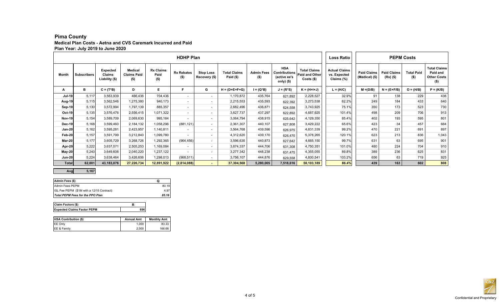### **Pima County Medical Plan Costs - Aetna and CVS Caremark Incurred and Paid Plan Year: July 2019 to June 2020**

|               |                    |                                             |                                              |                                     | <b>Loss Ratio</b>            |                                   | <b>PEPM Costs</b>               |                              |                                                                  |                                                              |                                                    |                                                                                                         |               |                                                                  |             |
|---------------|--------------------|---------------------------------------------|----------------------------------------------|-------------------------------------|------------------------------|-----------------------------------|---------------------------------|------------------------------|------------------------------------------------------------------|--------------------------------------------------------------|----------------------------------------------------|---------------------------------------------------------------------------------------------------------|---------------|------------------------------------------------------------------|-------------|
| Month         | <b>Subscribers</b> | <b>Expected</b><br>Claims<br>Liability (\$) | <b>Medical</b><br><b>Claims Paid</b><br>(\$) | <b>Rx Claims</b><br>Paid<br>$($ \$) | <b>Rx Rebates</b><br>$($ \$) | <b>Stop Loss</b><br>Recovery (\$) | <b>Total Claims</b><br>Paid $($ | <b>Admin Fees</b><br>$($ \$) | <b>HSA</b><br><b>Contributions</b><br>(active ee's<br>only) (\$) | <b>Total Claims</b><br><b>Paid and Other</b><br>$Costs$ (\$) | <b>Actual Claims</b><br>vs. Expected<br>Claims (%) | <b>Paid Claims</b><br><b>Paid Claims</b><br><b>Total Paid</b><br>(Medical) (\$)<br>(Rx) (\$)<br>$($ \$) |               | <b>Total Claims</b><br>Paid and<br><b>Other Costs</b><br>$($ \$) |             |
| А             | в                  | $C = (T^*B)$                                | D                                            | E                                   | Е                            | G                                 | $H = (D + E + F + G)$           | $I = (Q^*B)$                 | $J = (R^*S)$                                                     | $K = (H+H+J)$                                                | $L = (H/C)$                                        | $M = (D/B)$                                                                                             | $N = (E+F/B)$ | $O = (H/B)$                                                      | $P = (K/B)$ |
| <b>Jul-19</b> | 5,117              | 3,563,939                                   | 466,436                                      | 704,436                             | $\overline{\phantom{0}}$     | $\blacksquare$                    | 1,170,872                       | 435,764                      | 621,892                                                          | 2,228,527                                                    | 32.9%                                              | 91                                                                                                      | 138           | 229                                                              | 436         |
| Aug-19        | 5,115              | 3,562,546                                   | 1,275,380                                    | 940,173                             | $\overline{\phantom{0}}$     |                                   | 2,215,553                       | 435,593                      | 622,392                                                          | 3,273,538                                                    | 62.2%                                              | 249                                                                                                     | 184           | 433                                                              | 640         |
| Sep-19        | 5,130              | 3,572,994                                   | 1,797,139                                    | 885,357                             | $\overline{\phantom{0}}$     | $\overline{\phantom{0}}$          | 2,682,496                       | 436,871                      | 624,558                                                          | 3,743,925                                                    | 75.1%                                              | 350                                                                                                     | 173           | 523                                                              | 730         |
| Oct-19        | 5,135              | 3,576,476                                   | 2,556,415                                    | 1,071,322                           | $\overline{\phantom{0}}$     | $\overline{\phantom{0}}$          | 3,627,737                       | 437,297                      | 622,892                                                          | 4,687,925                                                    | 101.4%                                             | 498                                                                                                     | 209           | 706                                                              | 913         |
| <b>Nov-19</b> | 5.154              | 3,589,709                                   | 2,069,630                                    | 995,164                             |                              |                                   | 3,064,794                       | 438,915                      | 625,642                                                          | 4,129,350                                                    | 85.4%                                              | 402                                                                                                     | 193           | 595                                                              | 801         |
| <b>Dec-19</b> | 5,168              | 3,599,460                                   | 2,184,132                                    | 1,058,296                           | (881, 121)                   | $\overline{\phantom{0}}$          | 2,361,307                       | 440,107                      | 627,808                                                          | 3,429,222                                                    | 65.6%                                              | 423                                                                                                     | 34            | 457                                                              | 664         |
| Jan-20        | 5.162              | 3,595,281                                   | 2,423,957                                    | 1,140,811                           | $\overline{\phantom{a}}$     | $\overline{\phantom{0}}$          | 3,564,768                       | 439,596                      | 626,975                                                          | 4,631,339                                                    | 99.2%                                              | 470                                                                                                     | 221           | 691                                                              | 897         |
| Feb-20        | 5.157              | 3,591,799                                   | 3,212,840                                    | 1,099,780                           |                              | $\overline{\phantom{0}}$          | 4,312,620                       | 439,170                      | 626,475                                                          | 5,378,265                                                    | 120.1%                                             | 623                                                                                                     | 213           | 836                                                              | 1,043       |
| Mar-20        | 5.177              | 3,605,729                                   | 3,268,726                                    | 1,292,365                           | (964, 456)                   | $\overline{\phantom{0}}$          | 3,596,635                       | 440,873                      | 627,642                                                          | 4,665,150                                                    | 99.7%                                              | 631                                                                                                     | 63            | 695                                                              | 901         |
| Apr-20        | 5.222              | 3,637,071                                   | 2,505,253                                    | 1,169,084                           | $\overline{\phantom{a}}$     | $\overline{\phantom{0}}$          | 3,674,337                       | 444,706                      | 631,308                                                          | 4,750,351                                                    | 101.0%                                             | 480                                                                                                     | 224           | 704                                                              | 910         |
| May-20        | 5,240              | 3,649,608                                   | 2,040,220                                    | 1,237,122                           | $\overline{\phantom{a}}$     | $\overline{\phantom{0}}$          | 3,277,342                       | 446,238                      | 631,475                                                          | 4,355,055                                                    | 89.8%                                              | 389                                                                                                     | 236           | 625                                                              | 831         |
| <b>Jun-20</b> | 5.224              | 3,638,464                                   | 3,426,606                                    | 1,298,013                           | (968, 511)                   | $\overline{\phantom{0}}$          | 3,756,107                       | 444,876                      | 629,558                                                          | 4,830,541                                                    | 103.2%                                             | 656                                                                                                     | 63            | 719                                                              | 925         |
| <b>Total</b>  | 62,001             | 43,183,076                                  | 27,226,734                                   | 12,891,922                          | (2,814,088)                  | $\sim$                            | 37,304,568                      | 5,280,005                    | 7,518,616                                                        | 50,103,189                                                   | 86.4%                                              | 439                                                                                                     | 163           | 602                                                              | 808         |

**Avg 5,167**

| Admin Fees (\$)                           |       |
|-------------------------------------------|-------|
| Admin Fees PEPM                           | 80.19 |
| ISL Fee PEPM (\$1M with a 12/15 Contract) | 4.97  |
| Total PEPM Fees for the PPO Plan          | 85.16 |

| Claim Factors (\$)                 |  |
|------------------------------------|--|
| <b>Expected Claims Factor PEPM</b> |  |

| <b>HSA Contribution (\$)</b> | <b>Annual Amt</b> | <b>Monthly Amt</b> |
|------------------------------|-------------------|--------------------|
| <b>IEE Only</b>              | 1.000             | 83.33              |
| EE & Family                  | 2.000             | 166.66             |